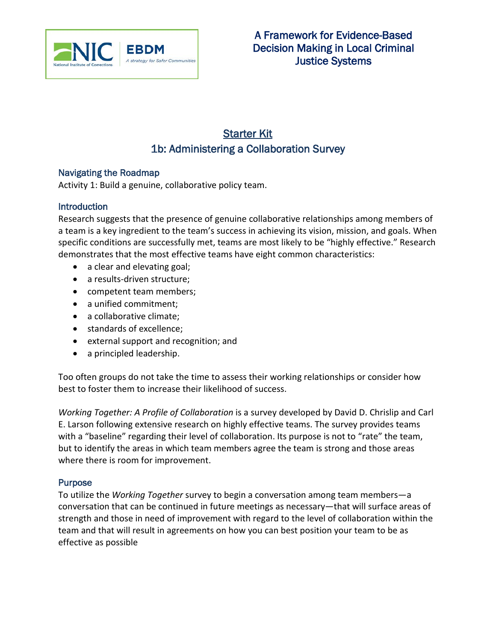

# Starter Kit 1b: Administering a Collaboration Survey

#### Navigating the Roadmap

Activity 1: Build a genuine, collaborative policy team.

#### **Introduction**

Research suggests that the presence of genuine collaborative relationships among members of a team is a key ingredient to the team's success in achieving its vision, mission, and goals. When specific conditions are successfully met, teams are most likely to be "highly effective." Research demonstrates that the most effective teams have eight common characteristics:

- a clear and elevating goal;
- a results-driven structure;
- competent team members;
- a unified commitment:
- a collaborative climate;
- standards of excellence;
- external support and recognition; and
- a principled leadership.

Too often groups do not take the time to assess their working relationships or consider how best to foster them to increase their likelihood of success.

*Working Together: A Profile of Collaboration* is a survey developed by David D. Chrislip and Carl E. Larson following extensive research on highly effective teams. The survey provides teams with a "baseline" regarding their level of collaboration. Its purpose is not to "rate" the team, but to identify the areas in which team members agree the team is strong and those areas where there is room for improvement.

#### Purpose

To utilize the *Working Together* survey to begin a conversation among team members—a conversation that can be continued in future meetings as necessary—that will surface areas of strength and those in need of improvement with regard to the level of collaboration within the team and that will result in agreements on how you can best position your team to be as effective as possible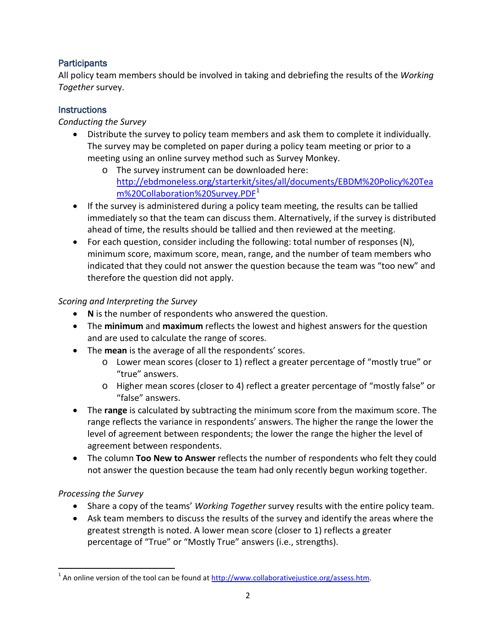## **Participants**

All policy team members should be involved in taking and debriefing the results of the *Working Together* survey.

## **Instructions**

## *Conducting the Survey*

- Distribute the survey to policy team members and ask them to complete it individually. The survey may be completed on paper during a policy team meeting or prior to a meeting using an online survey method such as Survey Monkey.
	- o The survey instrument can be downloaded here: [http://ebdmoneless.org/starterkit/sites/all/documents/EBDM%20Policy%20Tea](http://ebdmoneless.org/starterkit/sites/all/documents/EBDM%20Policy%20Team%20Collaboration%20Survey.PDF) [m%20Collaboration%20Survey.PDF](http://ebdmoneless.org/starterkit/sites/all/documents/EBDM%20Policy%20Team%20Collaboration%20Survey.PDF)<sup>[1](#page-4-0)</sup>
- If the survey is administered during a policy team meeting, the results can be tallied immediately so that the team can discuss them. Alternatively, if the survey is distributed ahead of time, the results should be tallied and then reviewed at the meeting.
- For each question, consider including the following: total number of responses (N), minimum score, maximum score, mean, range, and the number of team members who indicated that they could not answer the question because the team was "too new" and therefore the question did not apply.

### *Scoring and Interpreting the Survey*

- **N** is the number of respondents who answered the question.
- The **minimum** and **maximum** reflects the lowest and highest answers for the question and are used to calculate the range of scores.
- The **mean** is the average of all the respondents' scores.
	- o Lower mean scores (closer to 1) reflect a greater percentage of "mostly true" or "true" answers.
	- o Higher mean scores (closer to 4) reflect a greater percentage of "mostly false" or "false" answers.
- The **range** is calculated by subtracting the minimum score from the maximum score. The range reflects the variance in respondents' answers. The higher the range the lower the level of agreement between respondents; the lower the range the higher the level of agreement between respondents.
- The column **Too New to Answer** reflects the number of respondents who felt they could not answer the question because the team had only recently begun working together.

# *Processing the Survey*

- Share a copy of the teams' *Working Together* survey results with the entire policy team.
- Ask team members to discuss the results of the survey and identify the areas where the greatest strength is noted. A lower mean score (closer to 1) reflects a greater percentage of "True" or "Mostly True" answers (i.e., strengths).

<span id="page-1-0"></span> $1$  An online version of the tool can be found at  $\frac{http://www.collaborativejustice.org/assess.htm}{http://www.collaborativejustice.org/assess.htm}$ .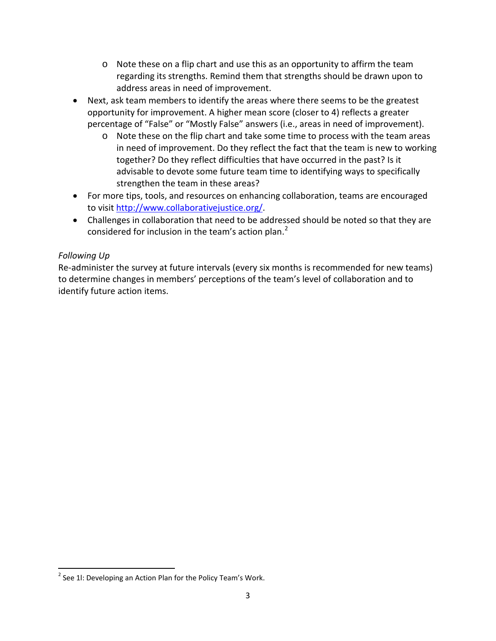- o Note these on a flip chart and use this as an opportunity to affirm the team regarding its strengths. Remind them that strengths should be drawn upon to address areas in need of improvement.
- Next, ask team members to identify the areas where there seems to be the greatest opportunity for improvement. A higher mean score (closer to 4) reflects a greater percentage of "False" or "Mostly False" answers (i.e., areas in need of improvement).
	- o Note these on the flip chart and take some time to process with the team areas in need of improvement. Do they reflect the fact that the team is new to working together? Do they reflect difficulties that have occurred in the past? Is it advisable to devote some future team time to identifying ways to specifically strengthen the team in these areas?
- For more tips, tools, and resources on enhancing collaboration, teams are encouraged to visit [http://www.collaborativejustice.org/.](http://www.collaborativejustice.org/)
- Challenges in collaboration that need to be addressed should be noted so that they are considered for inclusion in the team's action plan.<sup>[2](#page-1-0)</sup>

### *Following Up*

Re-administer the survey at future intervals (every six months is recommended for new teams) to determine changes in members' perceptions of the team's level of collaboration and to identify future action items.

 $2$  See 11: Developing an Action Plan for the Policy Team's Work.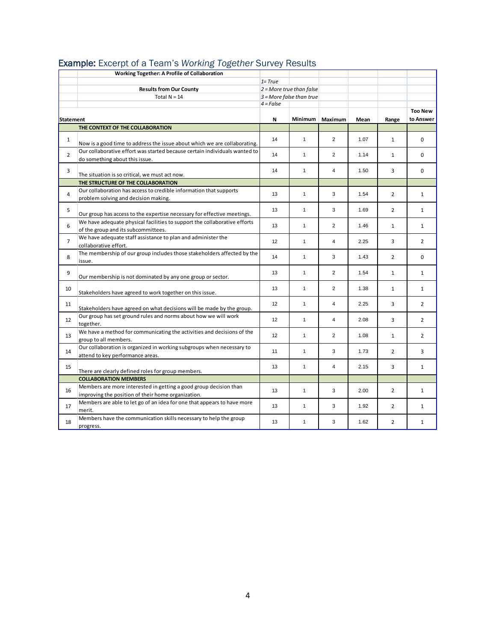|                | Working Together: A Profile of Collaboration                                                                            |                            |              |                |      |                |                |
|----------------|-------------------------------------------------------------------------------------------------------------------------|----------------------------|--------------|----------------|------|----------------|----------------|
|                |                                                                                                                         | $1 = True$                 |              |                |      |                |                |
|                | <b>Results from Our County</b>                                                                                          | $2$ = More true than false |              |                |      |                |                |
|                | Total $N = 14$                                                                                                          | $3$ = More false than true |              |                |      |                |                |
|                |                                                                                                                         | $4 = False$                |              |                |      |                |                |
|                |                                                                                                                         |                            |              |                |      |                | <b>Too New</b> |
| Statement      |                                                                                                                         | N                          | Minimum      | Maximum        | Mean | Range          | to Answer      |
|                | THE CONTEXT OF THE COLLABORATION                                                                                        |                            |              |                |      |                |                |
| $\mathbf{1}$   | Now is a good time to address the issue about which we are collaborating.                                               | 14                         | $\mathbf{1}$ | $\overline{2}$ | 1.07 | $\mathbf{1}$   | $\Omega$       |
| $\overline{2}$ | Our collaborative effort was started because certain individuals wanted to<br>do something about this issue.            | 14                         | $\mathbf{1}$ | $\overline{2}$ | 1.14 | $\mathbf{1}$   | $\Omega$       |
| 3              | The situation is so critical, we must act now.                                                                          | 14                         | $\mathbf{1}$ | $\overline{4}$ | 1.50 | 3              | 0              |
|                | THE STRUCTURE OF THE COLLABORATION                                                                                      |                            |              |                |      |                |                |
| 4              | Our collaboration has access to credible information that supports<br>problem solving and decision making.              | 13                         | $\mathbf{1}$ | 3              | 1.54 | $\overline{2}$ | $\mathbf{1}$   |
| 5              | Our group has access to the expertise necessary for effective meetings.                                                 | 13                         | $\mathbf{1}$ | 3              | 1.69 | $\overline{2}$ | $\mathbf{1}$   |
| 6              | We have adequate physical facilities to support the collaborative efforts<br>of the group and its subcommittees.        | 13                         | $\mathbf{1}$ | $\overline{2}$ | 1.46 | $\mathbf{1}$   | $\mathbf{1}$   |
| $\overline{7}$ | We have adequate staff assistance to plan and administer the<br>collaborative effort.                                   | 12                         | $\mathbf{1}$ | $\overline{4}$ | 2.25 | 3              | $\overline{2}$ |
| 8              | The membership of our group includes those stakeholders affected by the<br>issue.                                       | 14                         | $\mathbf{1}$ | 3              | 1.43 | $\overline{2}$ | 0              |
| 9              | Our membership is not dominated by any one group or sector.                                                             | 13                         | $\mathbf{1}$ | 2              | 1.54 | $\mathbf{1}$   | $\mathbf{1}$   |
| 10             | Stakeholders have agreed to work together on this issue.                                                                | 13                         | $\mathbf{1}$ | 2              | 1.38 | $\mathbf{1}$   | $\mathbf{1}$   |
| 11             | Stakeholders have agreed on what decisions will be made by the group.                                                   | 12                         | $\mathbf{1}$ | $\overline{4}$ | 2.25 | 3              | $\overline{2}$ |
| 12             | Our group has set ground rules and norms about how we will work<br>together.                                            | 12                         | $\mathbf{1}$ | $\overline{4}$ | 2.08 | 3              | $\overline{2}$ |
| 13             | We have a method for communicating the activities and decisions of the<br>group to all members.                         | 12                         | $\mathbf{1}$ | $\overline{2}$ | 1.08 | $\mathbf{1}$   | $\overline{2}$ |
| 14             | Our collaboration is organized in working subgroups when necessary to<br>attend to key performance areas.               | 11                         | $\mathbf{1}$ | 3              | 1.73 | $\overline{2}$ | 3              |
| 15             | There are clearly defined roles for group members.                                                                      | 13                         | $\mathbf{1}$ | $\overline{4}$ | 2.15 | 3              | $\mathbf{1}$   |
|                | <b>COLLABORATION MEMBERS</b>                                                                                            |                            |              |                |      |                |                |
| 16             | Members are more interested in getting a good group decision than<br>improving the position of their home organization. | 13                         | $\mathbf{1}$ | 3              | 2.00 | $\overline{2}$ | $\mathbf{1}$   |
| 17             | Members are able to let go of an idea for one that appears to have more<br>merit.                                       | 13                         | $\mathbf{1}$ | 3              | 1.92 | $\overline{2}$ | $\mathbf{1}$   |
| 18             | Members have the communication skills necessary to help the group<br>progress.                                          | 13                         | $\mathbf{1}$ | 3              | 1.62 | $\overline{2}$ | $\mathbf{1}$   |

#### Example: Excerpt of a Team's *Working Together* Survey Results